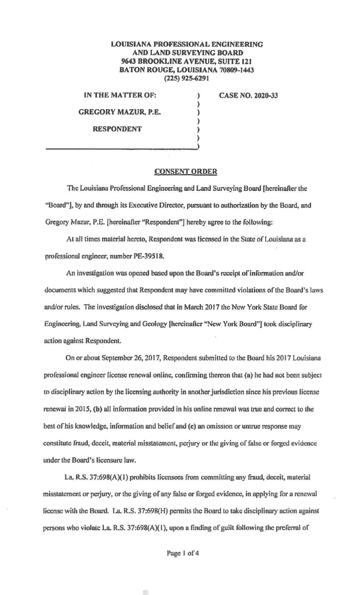## **LOUISIANA PROFESSIONAL ENGINEERING AND LAND SURVEYING BOARD 9643 BROOKLINE A VENUE, SUITE 121 BATON ROUGE, LOUISIANA 70809~1443 (225) 925-6291**

) ) ) ) ) )

**IN THE MATTER OF: GREGORY MAZUR, P.E. RESPONDENT** 

**CASE NO. 2020-33** 

## **CONSENT ORDER**

The Louisiana Professional Engineering and Land Surveying Board (hereinafter the "Board"], by and through its Executive Director, pursuant to authorization by the Board, and Gregory Mazur, P.E. {hereinafter "Respondent"] hereby agree to the following:

At all times material hereto, Respondent was licensed in the State of Louisiana us n professional engineer, number PE-39518.

An investigation was opened based upon the Board's receipt of information and/or documents which suggested that Respondent may have committed violations of the Board's laws and/or rules. The investigation disclosed that in March 2017 the New York State Board for Engineering, Land Surveying and Geology [hereinafter "New York Board"] took disciplinary action against Respondent.

On or about September 26, 2017, Respondent submitted to the Board his 2017 Louisiana professional engineer license renewal online, confinning thereon that **(a)** he had not been subjecr co disciplinary action by the licensing authority in another jurisdiction since his previous license renewai in 2015, **(b)** aU information provided in his online renewal was true and correct to the best of his knowledge, infonnation and belief and **(c) an** omission or untrue response may constitute fraud, deceit, material misstatement, perjury or the giving of false or forged evidence under the Board's licensure law.

La. R.S. 37:698 $(A)(1)$  prohibits licensees from committing any fraud, deceit, material misstatement or perjury, or the giving of any false or forged evidence, in applying for a renewal license with the Board. La. R.S. 37:698(H) permits the Board to tnke disciplinary action against persons who violate La. R.S. 37:698(A){I), upon a finding of guilt following the preferral of

Puge I of 4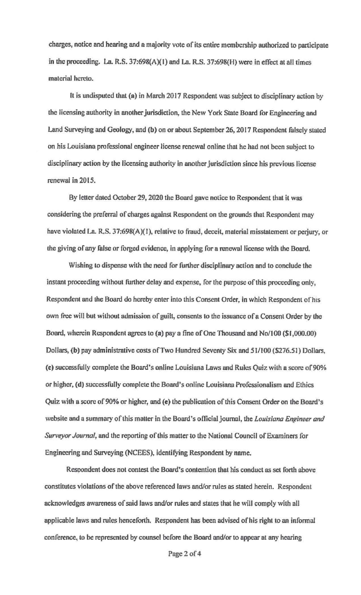charges, notice and hearing and a majority vote of its entire membership authorized to participate in the proceeding. La. R.S. 37:698(A)( I) and La. R.S. 37:698(H) were in effect at all times material hereto.

It is undisputed that (a) in March 2017 Respondent was subject to disciplinary action by the licensing authority in another jurisdiction, the New York State Board for Engineering and Land Surveying and Geology, and (b) on or about September 26, 2017 Respondent falsely stated on his Louisiana professional engineer license renewal online that he had not been subject to disciplinary action by the licensing authority in another jurisdiction since his previous license renewal in 2015.

By letter dated October 29, 2020 the Board gave notice to Respondent that it was considering the preferral of charges against Respondent on the grounds that Respondent may have violated La. R.S. 37:698(A)(1), relative to fraud, deceit, material misstatement or perjury, or lhe giving of any false or forged evidence, in applying for a renewal license with the Board.

Wishing to dispense with the need for further disciplinary action and to conclude the instant proceeding without further delay and expense, for the purpose of this proceeding only, Respondent and the Board do hereby enter into this Consent Order, in which Respondent of his own free will but without admission of guilt, consents to the issuance of a Consent Order by the Board, wherein Respondent agrees to (a) pay a fine of One Thousand and No/100 (\$1,000.00) Dollars, **(b)** pay administrative costs ofTwo Hundred Seventy Six and 51/IOO (\$276.51) Dollars, (c) successfully complete the Board's online Louisiana Laws and Rules Quiz with a score of 90% or higher, (d) successfully complete the Board's online Louisiana Professionalism and Ethics Quiz with a score of 90% or higher, and (e) lhe publication of this Consent Order on the Board's website and a summary of this matter in the Board's official joumnl, lhe *Louisiana Engineer and Surveyor Journal,* and the reporting of this matter to the National Council of Examiners for Engineering and Surveying (NCEES), identifying Respondent by name.

Respondent does not contest the Board's contention that his conduct as set forth above constitutes violations of the above referenced laws and/or rules as stated herein. Respondent acknowledges awareness of said laws and/or rules and states that he will comply with all applicable Jaws and rules henceforth. Respondent has been advised of his right to an infonnal conference, to be represented by counsel before the Board and/or to appear at any hearing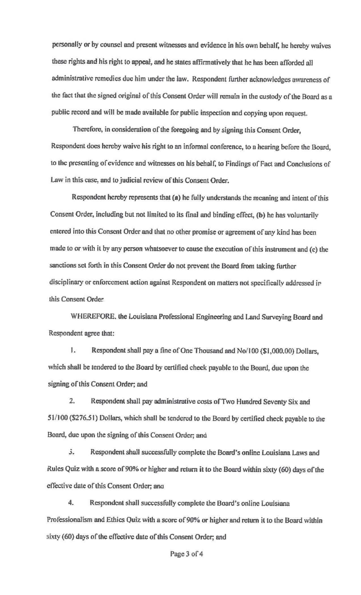personally or by counsel and present witnesses and evidence in his own behalf, he hereby waives these rights and his right to appeal, and he states affinnatively that he has been afforded all administrative remedies due him under the law. Respondent further acknowledges awareness of the fact that the signed original of this Consent Order will remain in the custody of the Board as a public record and will be made available for public inspection and copying upon request.

Therefore, in consideration of the foregoing and by signing this Consent Order, Respondent does hereby waive his right to an infonnal conference, to a hearing before the Board, to the presenting of evidence and witnesses on his behalf, to Findings of Fact and Conclusions of Law in this case, and to judicial review of this Consent Order.

Respondent hereby represents that (a) he fully understands the meaning and intent of this Consent Order, including but not limited to its final and binding effect, (b) he has voluntarily entered into this Consent Order and that no other promise or agreement of any kind has been made to or with it by any person whatsoever to cause the execution of this instrument and (c) the sanctions set forth in this Consent Order do not prevent the Board from taking further disciplinary or enforcement action against Respondent on matters not specifically addressed ir this Consent Order

WHEREFORE, the Louisiana Professional Engineering and Land Surveying Board and Respondent agree that:

1. Respondent shall pay a fine of One Thousand and No/100 (\$1,000.00) Dollars, which shall be 1endered to the Board by certified check payable to the Board, due upon the signing of this Consent Order; and

2. Respondent shall pay administrative costs of Two Hundred Seventy Six and 51/100 (\$276.51) Dollars, which shall be tendered to the Board by certified check payable to the Board, due upon the signing of this Consent Order; and

3. Respondent shall successfully complete the Board's online Louisiana Laws and Rules Quiz with a score of 90% or higher and return it to the Board within sixty (60) days of the effective dnte of this Consent Order; ano

4. Respondent shall successfully complete the Board's online Louisiana Professionalism and Ethics Quiz with a score of 90% or higher and return it to the Board within sixty (60) days of the effective date of this Consent Order; and